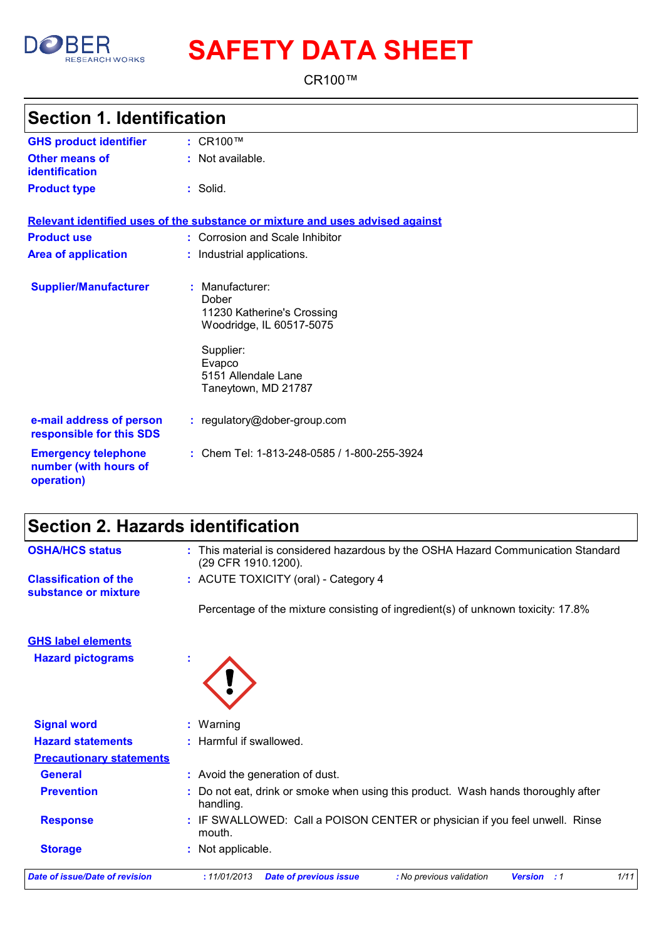

# **SAFETY DATA SHEET**

CR100™

### **Section 1. Identification**

| <b>GHS product identifier</b>                                     | $: CR100^{TM}$                                                                                                                                            |
|-------------------------------------------------------------------|-----------------------------------------------------------------------------------------------------------------------------------------------------------|
| <b>Other means of</b><br>identification                           | $:$ Not available.                                                                                                                                        |
| <b>Product type</b>                                               | : Solid.                                                                                                                                                  |
|                                                                   | Relevant identified uses of the substance or mixture and uses advised against                                                                             |
| <b>Product use</b>                                                | : Corrosion and Scale Inhibitor                                                                                                                           |
| <b>Area of application</b>                                        | : Industrial applications.                                                                                                                                |
| <b>Supplier/Manufacturer</b>                                      | $:$ Manufacturer:<br>Dober<br>11230 Katherine's Crossing<br>Woodridge, IL 60517-5075<br>Supplier:<br>Evapco<br>5151 Allendale Lane<br>Taneytown, MD 21787 |
| e-mail address of person<br>responsible for this SDS              | : regulatory@dober-group.com                                                                                                                              |
| <b>Emergency telephone</b><br>number (with hours of<br>operation) | : Chem Tel: 1-813-248-0585 / 1-800-255-3924                                                                                                               |

### **Section 2. Hazards identification**

| <b>OSHA/HCS status</b>                               | : This material is considered hazardous by the OSHA Hazard Communication Standard<br>(29 CFR 1910.1200).          |
|------------------------------------------------------|-------------------------------------------------------------------------------------------------------------------|
| <b>Classification of the</b><br>substance or mixture | : ACUTE TOXICITY (oral) - Category 4                                                                              |
|                                                      | Percentage of the mixture consisting of ingredient(s) of unknown toxicity: 17.8%                                  |
| <b>GHS label elements</b>                            |                                                                                                                   |
| <b>Hazard pictograms</b>                             |                                                                                                                   |
| <b>Signal word</b>                                   | : Warning                                                                                                         |
| <b>Hazard statements</b>                             | : Harmful if swallowed.                                                                                           |
| <b>Precautionary statements</b>                      |                                                                                                                   |
| <b>General</b>                                       | : Avoid the generation of dust.                                                                                   |
| <b>Prevention</b>                                    | : Do not eat, drink or smoke when using this product. Wash hands thoroughly after<br>handling.                    |
| <b>Response</b>                                      | : IF SWALLOWED: Call a POISON CENTER or physician if you feel unwell. Rinse<br>mouth.                             |
| <b>Storage</b>                                       | : Not applicable.                                                                                                 |
| <b>Date of issue/Date of revision</b>                | : 11/01/2013<br><b>Date of previous issue</b><br>1/11<br>: No previous validation<br><b>Version</b><br>$\cdot$ :1 |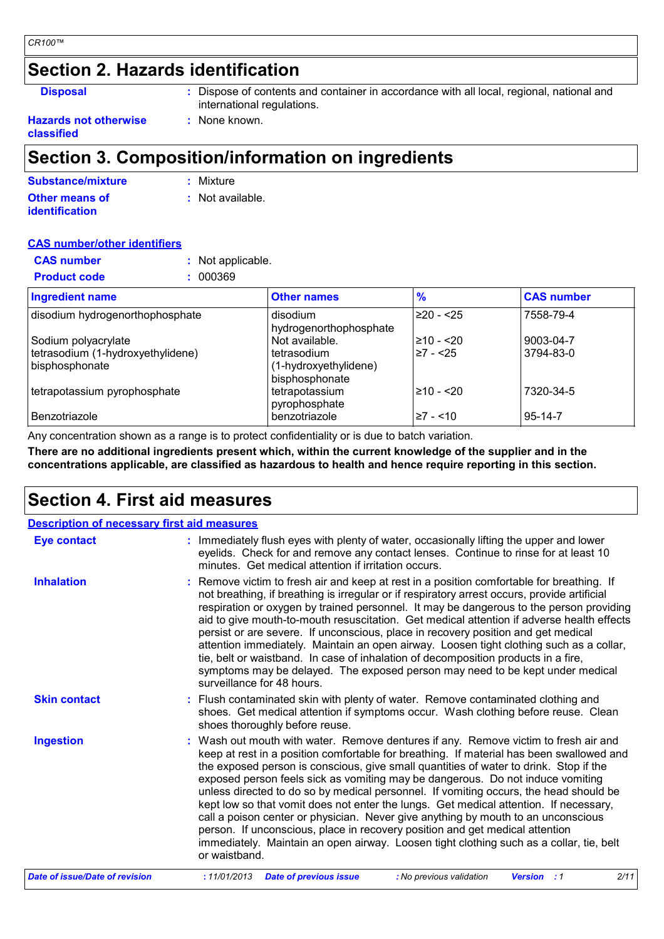### **Section 2. Hazards identification**

**Disposal :** Dispose of contents and container in accordance with all local, regional, national and international regulations.

#### **Hazards not otherwise classified**

### **Section 3. Composition/information on ingredients**

**:** None known.

| Substance/mixture     | : Mixture        |
|-----------------------|------------------|
| <b>Other means of</b> | : Not available. |
| <b>identification</b> |                  |

#### **CAS number/other identifiers**

| <b>CAS number</b><br>: Not applicable. |                                         |               |                   |
|----------------------------------------|-----------------------------------------|---------------|-------------------|
| <b>Product code</b><br>: 000369        |                                         |               |                   |
| <b>Ingredient name</b>                 | <b>Other names</b>                      | $\frac{9}{6}$ | <b>CAS number</b> |
| disodium hydrogenorthophosphate        | disodium<br>hydrogenorthophosphate      | $≥20 - 25$    | 7558-79-4         |
| Sodium polyacrylate                    | Not available.                          | l≥10 - <20    | 9003-04-7         |
| tetrasodium (1-hydroxyethylidene)      | tetrasodium                             | 27 - <25      | 3794-83-0         |
| bisphosphonate                         | (1-hydroxyethylidene)<br>bisphosphonate |               |                   |
| tetrapotassium pyrophosphate           | tetrapotassium<br>pyrophosphate         | l≥10 - <20    | 7320-34-5         |
| Benzotriazole                          | benzotriazole                           | $\ge 7 - 10$  | $95 - 14 - 7$     |

Any concentration shown as a range is to protect confidentiality or is due to batch variation.

**There are no additional ingredients present which, within the current knowledge of the supplier and in the concentrations applicable, are classified as hazardous to health and hence require reporting in this section.**

### **Section 4. First aid measures**

| <b>Description of necessary first aid measures</b> |                                                                                                                                                                                                                                                                                                                                                                                                                                                                                                                                                                                                                                                                                                                                                                                                                               |
|----------------------------------------------------|-------------------------------------------------------------------------------------------------------------------------------------------------------------------------------------------------------------------------------------------------------------------------------------------------------------------------------------------------------------------------------------------------------------------------------------------------------------------------------------------------------------------------------------------------------------------------------------------------------------------------------------------------------------------------------------------------------------------------------------------------------------------------------------------------------------------------------|
| <b>Eye contact</b>                                 | : Immediately flush eyes with plenty of water, occasionally lifting the upper and lower<br>eyelids. Check for and remove any contact lenses. Continue to rinse for at least 10<br>minutes. Get medical attention if irritation occurs.                                                                                                                                                                                                                                                                                                                                                                                                                                                                                                                                                                                        |
| <b>Inhalation</b>                                  | : Remove victim to fresh air and keep at rest in a position comfortable for breathing. If<br>not breathing, if breathing is irregular or if respiratory arrest occurs, provide artificial<br>respiration or oxygen by trained personnel. It may be dangerous to the person providing<br>aid to give mouth-to-mouth resuscitation. Get medical attention if adverse health effects<br>persist or are severe. If unconscious, place in recovery position and get medical<br>attention immediately. Maintain an open airway. Loosen tight clothing such as a collar,<br>tie, belt or waistband. In case of inhalation of decomposition products in a fire,<br>symptoms may be delayed. The exposed person may need to be kept under medical<br>surveillance for 48 hours.                                                        |
| <b>Skin contact</b>                                | : Flush contaminated skin with plenty of water. Remove contaminated clothing and<br>shoes. Get medical attention if symptoms occur. Wash clothing before reuse. Clean<br>shoes thoroughly before reuse.                                                                                                                                                                                                                                                                                                                                                                                                                                                                                                                                                                                                                       |
| <b>Ingestion</b>                                   | : Wash out mouth with water. Remove dentures if any. Remove victim to fresh air and<br>keep at rest in a position comfortable for breathing. If material has been swallowed and<br>the exposed person is conscious, give small quantities of water to drink. Stop if the<br>exposed person feels sick as vomiting may be dangerous. Do not induce vomiting<br>unless directed to do so by medical personnel. If vomiting occurs, the head should be<br>kept low so that vomit does not enter the lungs. Get medical attention. If necessary,<br>call a poison center or physician. Never give anything by mouth to an unconscious<br>person. If unconscious, place in recovery position and get medical attention<br>immediately. Maintain an open airway. Loosen tight clothing such as a collar, tie, belt<br>or waistband. |
| Date of issue/Date of revision                     | 2/11<br>:11/01/2013<br><b>Date of previous issue</b><br>: No previous validation<br><b>Version</b> : 1                                                                                                                                                                                                                                                                                                                                                                                                                                                                                                                                                                                                                                                                                                                        |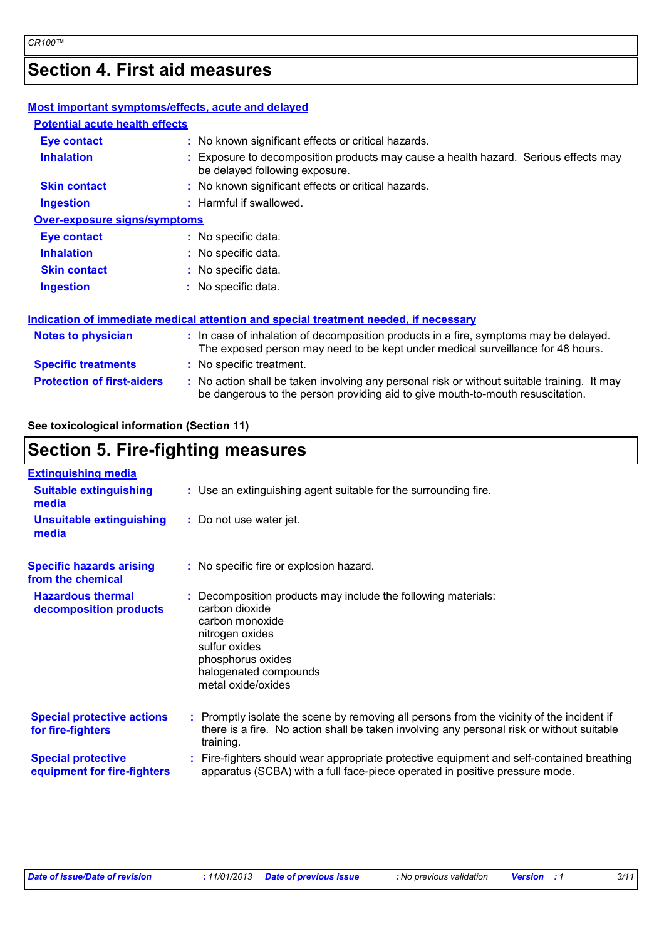### **Section 4. First aid measures**

| <b>Most important symptoms/effects, acute and delayed</b> |                                                                                                                                                                               |
|-----------------------------------------------------------|-------------------------------------------------------------------------------------------------------------------------------------------------------------------------------|
| <b>Potential acute health effects</b>                     |                                                                                                                                                                               |
| Eye contact                                               | : No known significant effects or critical hazards.                                                                                                                           |
| <b>Inhalation</b>                                         | Exposure to decomposition products may cause a health hazard. Serious effects may<br>be delayed following exposure.                                                           |
| <b>Skin contact</b>                                       | : No known significant effects or critical hazards.                                                                                                                           |
| <b>Ingestion</b>                                          | : Harmful if swallowed.                                                                                                                                                       |
| <b>Over-exposure signs/symptoms</b>                       |                                                                                                                                                                               |
| Eye contact                                               | : No specific data.                                                                                                                                                           |
| <b>Inhalation</b>                                         | : No specific data.                                                                                                                                                           |
| <b>Skin contact</b>                                       | : No specific data.                                                                                                                                                           |
| <b>Ingestion</b>                                          | : No specific data.                                                                                                                                                           |
|                                                           | Indication of immediate medical attention and special treatment needed, if necessary                                                                                          |
| <b>Notes to physician</b>                                 | : In case of inhalation of decomposition products in a fire, symptoms may be delayed.<br>The exposed person may need to be kept under medical surveillance for 48 hours.      |
| <b>Specific treatments</b>                                | : No specific treatment.                                                                                                                                                      |
| <b>Protection of first-aiders</b>                         | : No action shall be taken involving any personal risk or without suitable training. It may<br>be dangerous to the person providing aid to give mouth-to-mouth resuscitation. |

#### **See toxicological information (Section 11)**

### **Section 5. Fire-fighting measures**

| <b>Extinguishing media</b>                               |                                                                                                                                                                                                          |
|----------------------------------------------------------|----------------------------------------------------------------------------------------------------------------------------------------------------------------------------------------------------------|
| <b>Suitable extinguishing</b><br>media                   | : Use an extinguishing agent suitable for the surrounding fire.                                                                                                                                          |
| <b>Unsuitable extinguishing</b><br>media                 | : Do not use water jet.                                                                                                                                                                                  |
| <b>Specific hazards arising</b><br>from the chemical     | : No specific fire or explosion hazard.                                                                                                                                                                  |
| <b>Hazardous thermal</b><br>decomposition products       | Decomposition products may include the following materials:<br>carbon dioxide<br>carbon monoxide<br>nitrogen oxides<br>sulfur oxides<br>phosphorus oxides<br>halogenated compounds<br>metal oxide/oxides |
| <b>Special protective actions</b><br>for fire-fighters   | : Promptly isolate the scene by removing all persons from the vicinity of the incident if<br>there is a fire. No action shall be taken involving any personal risk or without suitable<br>training.      |
| <b>Special protective</b><br>equipment for fire-fighters | : Fire-fighters should wear appropriate protective equipment and self-contained breathing<br>apparatus (SCBA) with a full face-piece operated in positive pressure mode.                                 |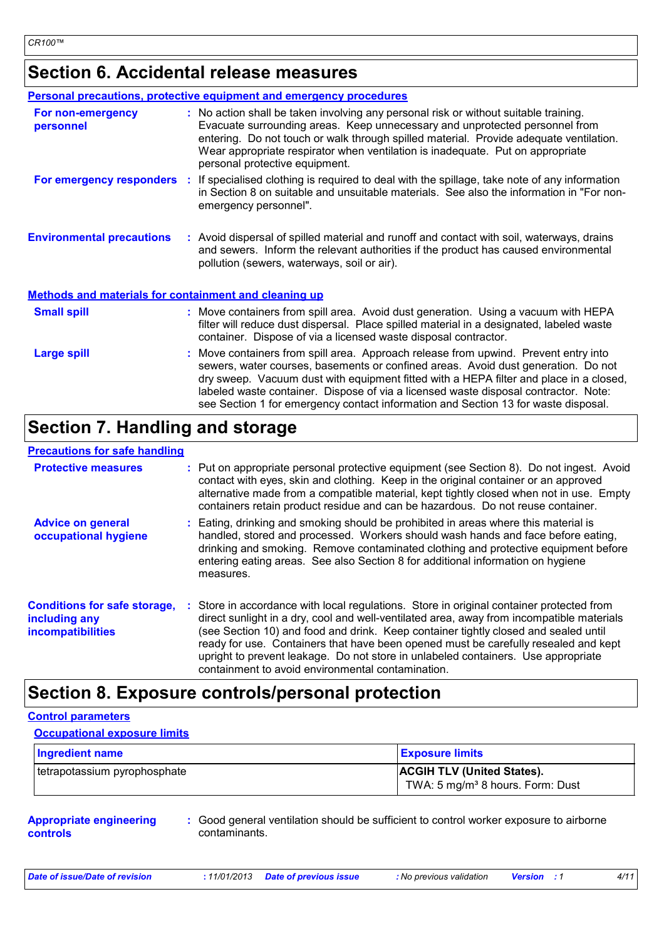### **Section 6. Accidental release measures**

|                                                              | <b>Personal precautions, protective equipment and emergency procedures</b>                                                                                                                                                                                                                                                                                                                                                                    |
|--------------------------------------------------------------|-----------------------------------------------------------------------------------------------------------------------------------------------------------------------------------------------------------------------------------------------------------------------------------------------------------------------------------------------------------------------------------------------------------------------------------------------|
| For non-emergency<br>personnel                               | : No action shall be taken involving any personal risk or without suitable training.<br>Evacuate surrounding areas. Keep unnecessary and unprotected personnel from<br>entering. Do not touch or walk through spilled material. Provide adequate ventilation.<br>Wear appropriate respirator when ventilation is inadequate. Put on appropriate<br>personal protective equipment.                                                             |
| For emergency responders :                                   | If specialised clothing is required to deal with the spillage, take note of any information<br>in Section 8 on suitable and unsuitable materials. See also the information in "For non-<br>emergency personnel".                                                                                                                                                                                                                              |
| <b>Environmental precautions</b>                             | : Avoid dispersal of spilled material and runoff and contact with soil, waterways, drains<br>and sewers. Inform the relevant authorities if the product has caused environmental<br>pollution (sewers, waterways, soil or air).                                                                                                                                                                                                               |
| <b>Methods and materials for containment and cleaning up</b> |                                                                                                                                                                                                                                                                                                                                                                                                                                               |
| <b>Small spill</b>                                           | : Move containers from spill area. Avoid dust generation. Using a vacuum with HEPA<br>filter will reduce dust dispersal. Place spilled material in a designated, labeled waste<br>container. Dispose of via a licensed waste disposal contractor.                                                                                                                                                                                             |
| <b>Large spill</b>                                           | Move containers from spill area. Approach release from upwind. Prevent entry into<br>sewers, water courses, basements or confined areas. Avoid dust generation. Do not<br>dry sweep. Vacuum dust with equipment fitted with a HEPA filter and place in a closed,<br>labeled waste container. Dispose of via a licensed waste disposal contractor. Note:<br>see Section 1 for emergency contact information and Section 13 for waste disposal. |

### **Section 7. Handling and storage**

| <b>Precautions for safe handling</b>                                             |                                                                                                                                                                                                                                                                                                                                                                                                                                                                                                               |
|----------------------------------------------------------------------------------|---------------------------------------------------------------------------------------------------------------------------------------------------------------------------------------------------------------------------------------------------------------------------------------------------------------------------------------------------------------------------------------------------------------------------------------------------------------------------------------------------------------|
| <b>Protective measures</b>                                                       | : Put on appropriate personal protective equipment (see Section 8). Do not ingest. Avoid<br>contact with eyes, skin and clothing. Keep in the original container or an approved<br>alternative made from a compatible material, kept tightly closed when not in use. Empty<br>containers retain product residue and can be hazardous. Do not reuse container.                                                                                                                                                 |
| <b>Advice on general</b><br>occupational hygiene                                 | : Eating, drinking and smoking should be prohibited in areas where this material is<br>handled, stored and processed. Workers should wash hands and face before eating,<br>drinking and smoking. Remove contaminated clothing and protective equipment before<br>entering eating areas. See also Section 8 for additional information on hygiene<br>measures.                                                                                                                                                 |
| <b>Conditions for safe storage,</b><br>including any<br><b>incompatibilities</b> | : Store in accordance with local regulations. Store in original container protected from<br>direct sunlight in a dry, cool and well-ventilated area, away from incompatible materials<br>(see Section 10) and food and drink. Keep container tightly closed and sealed until<br>ready for use. Containers that have been opened must be carefully resealed and kept<br>upright to prevent leakage. Do not store in unlabeled containers. Use appropriate<br>containment to avoid environmental contamination. |

### **Section 8. Exposure controls/personal protection**

#### **Control parameters**

**Occupational exposure limits**

| Ingredient name              | <b>Exposure limits</b>                       |
|------------------------------|----------------------------------------------|
| tetrapotassium pyrophosphate | <b>ACGIH TLV (United States).</b>            |
|                              | TWA: 5 mg/m <sup>3</sup> 8 hours. Form: Dust |

#### **Appropriate engineering controls**

**:** Good general ventilation should be sufficient to control worker exposure to airborne contaminants.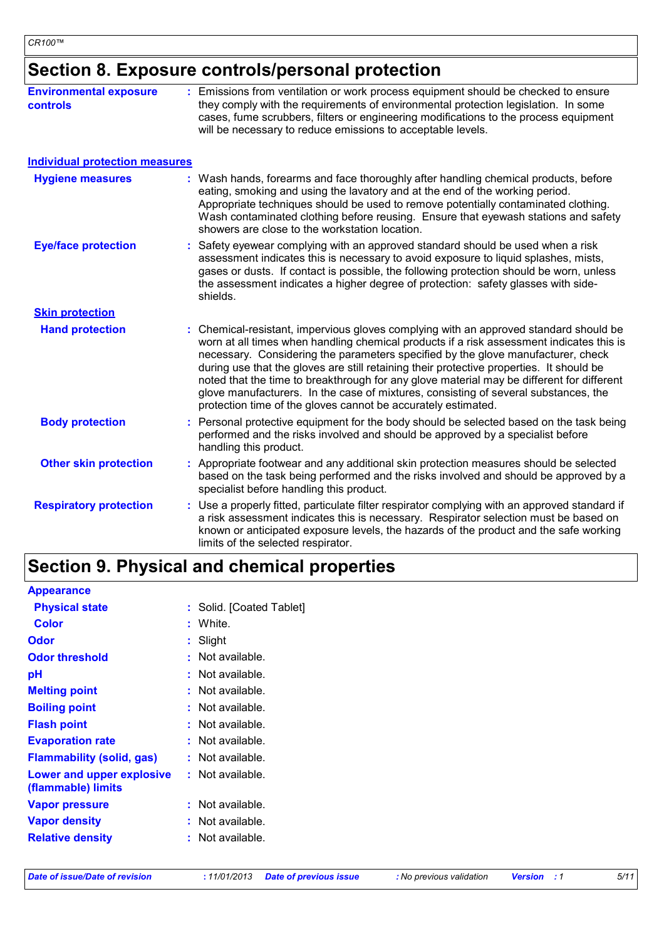### **Section 8. Exposure controls/personal protection**

| <b>Environmental exposure</b><br><b>controls</b> | : Emissions from ventilation or work process equipment should be checked to ensure<br>they comply with the requirements of environmental protection legislation. In some<br>cases, fume scrubbers, filters or engineering modifications to the process equipment<br>will be necessary to reduce emissions to acceptable levels.                                                                                                                                                                                                                                                                                        |
|--------------------------------------------------|------------------------------------------------------------------------------------------------------------------------------------------------------------------------------------------------------------------------------------------------------------------------------------------------------------------------------------------------------------------------------------------------------------------------------------------------------------------------------------------------------------------------------------------------------------------------------------------------------------------------|
| <b>Individual protection measures</b>            |                                                                                                                                                                                                                                                                                                                                                                                                                                                                                                                                                                                                                        |
| <b>Hygiene measures</b>                          | : Wash hands, forearms and face thoroughly after handling chemical products, before<br>eating, smoking and using the lavatory and at the end of the working period.<br>Appropriate techniques should be used to remove potentially contaminated clothing.<br>Wash contaminated clothing before reusing. Ensure that eyewash stations and safety<br>showers are close to the workstation location.                                                                                                                                                                                                                      |
| <b>Eye/face protection</b>                       | : Safety eyewear complying with an approved standard should be used when a risk<br>assessment indicates this is necessary to avoid exposure to liquid splashes, mists,<br>gases or dusts. If contact is possible, the following protection should be worn, unless<br>the assessment indicates a higher degree of protection: safety glasses with side-<br>shields.                                                                                                                                                                                                                                                     |
| <b>Skin protection</b>                           |                                                                                                                                                                                                                                                                                                                                                                                                                                                                                                                                                                                                                        |
| <b>Hand protection</b>                           | : Chemical-resistant, impervious gloves complying with an approved standard should be<br>worn at all times when handling chemical products if a risk assessment indicates this is<br>necessary. Considering the parameters specified by the glove manufacturer, check<br>during use that the gloves are still retaining their protective properties. It should be<br>noted that the time to breakthrough for any glove material may be different for different<br>glove manufacturers. In the case of mixtures, consisting of several substances, the<br>protection time of the gloves cannot be accurately estimated. |
| <b>Body protection</b>                           | Personal protective equipment for the body should be selected based on the task being<br>performed and the risks involved and should be approved by a specialist before<br>handling this product.                                                                                                                                                                                                                                                                                                                                                                                                                      |
| <b>Other skin protection</b>                     | Appropriate footwear and any additional skin protection measures should be selected<br>based on the task being performed and the risks involved and should be approved by a<br>specialist before handling this product.                                                                                                                                                                                                                                                                                                                                                                                                |
| <b>Respiratory protection</b>                    | Use a properly fitted, particulate filter respirator complying with an approved standard if<br>a risk assessment indicates this is necessary. Respirator selection must be based on<br>known or anticipated exposure levels, the hazards of the product and the safe working<br>limits of the selected respirator.                                                                                                                                                                                                                                                                                                     |

### **Section 9. Physical and chemical properties**

| <b>Appearance</b>                               |                          |
|-------------------------------------------------|--------------------------|
| <b>Physical state</b>                           | : Solid. [Coated Tablet] |
| <b>Color</b>                                    | : White.                 |
| <b>Odor</b>                                     | : Slight                 |
| <b>Odor threshold</b>                           | $:$ Not available.       |
| pH                                              | : Not available.         |
| <b>Melting point</b>                            | : Not available.         |
| <b>Boiling point</b>                            | : Not available.         |
| <b>Flash point</b>                              | : Not available.         |
| <b>Evaporation rate</b>                         | : Not available.         |
| <b>Flammability (solid, gas)</b>                | : Not available.         |
| Lower and upper explosive<br>(flammable) limits | : Not available.         |
| <b>Vapor pressure</b>                           | $:$ Not available.       |
| <b>Vapor density</b>                            | : Not available.         |
| <b>Relative density</b>                         | : Not available.         |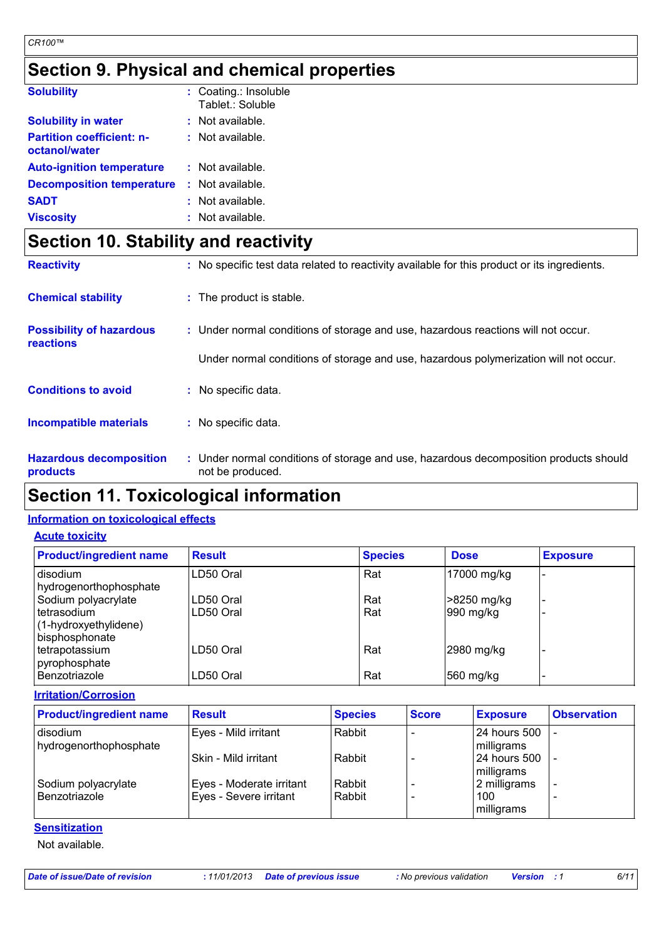## **Section 9. Physical and chemical properties**

| <b>Solubility</b>                                 | : Coating.: Insoluble<br>Tablet.: Soluble |
|---------------------------------------------------|-------------------------------------------|
| <b>Solubility in water</b>                        | : Not available.                          |
| <b>Partition coefficient: n-</b><br>octanol/water | $:$ Not available.                        |
| <b>Auto-ignition temperature</b>                  | $:$ Not available.                        |
| <b>Decomposition temperature</b>                  | : Not available.                          |
| <b>SADT</b>                                       | $:$ Not available.                        |
| <b>Viscosity</b>                                  | : Not available.                          |

### **Section 10. Stability and reactivity**

| <b>Reactivity</b>                            | : No specific test data related to reactivity available for this product or its ingredients.              |
|----------------------------------------------|-----------------------------------------------------------------------------------------------------------|
| <b>Chemical stability</b>                    | : The product is stable.                                                                                  |
| <b>Possibility of hazardous</b><br>reactions | : Under normal conditions of storage and use, hazardous reactions will not occur.                         |
|                                              | Under normal conditions of storage and use, hazardous polymerization will not occur.                      |
| <b>Conditions to avoid</b>                   | : No specific data.                                                                                       |
| Incompatible materials                       | : No specific data.                                                                                       |
| <b>Hazardous decomposition</b><br>products   | : Under normal conditions of storage and use, hazardous decomposition products should<br>not be produced. |

### **Section 11. Toxicological information**

#### **Information on toxicological effects**

| <b>Acute toxicity</b> |
|-----------------------|
|                       |

| <b>Product/ingredient name</b>                              | <b>Result</b>          | <b>Species</b> | <b>Dose</b>              | <b>Exposure</b> |
|-------------------------------------------------------------|------------------------|----------------|--------------------------|-----------------|
| disodium<br>hydrogenorthophosphate                          | LD50 Oral              | Rat            | 17000 mg/kg              |                 |
| Sodium polyacrylate<br>tetrasodium<br>(1-hydroxyethylidene) | LD50 Oral<br>LD50 Oral | Rat<br>Rat     | >8250 mg/kg<br>990 mg/kg |                 |
| bisphosphonate<br>tetrapotassium<br>pyrophosphate           | LD50 Oral              | Rat            | 2980 mg/kg               |                 |
| Benzotriazole                                               | LD50 Oral              | Rat            | 560 mg/kg                |                 |

**Irritation/Corrosion**

| <b>Product/ingredient name</b>     | <b>Result</b>            | <b>Species</b> | <b>Score</b> | <b>Exposure</b>            | <b>Observation</b>       |
|------------------------------------|--------------------------|----------------|--------------|----------------------------|--------------------------|
| disodium<br>hydrogenorthophosphate | Eyes - Mild irritant     | Rabbit         |              | 24 hours 500<br>milligrams |                          |
|                                    | Skin - Mild irritant     | Rabbit         |              | 24 hours 500<br>milligrams |                          |
| Sodium polyacrylate                | Eyes - Moderate irritant | Rabbit         |              | 2 milligrams               | $\overline{\phantom{a}}$ |
| l Benzotriazole                    | Eyes - Severe irritant   | Rabbit         |              | 100<br>milligrams          |                          |

#### **Sensitization**

Not available.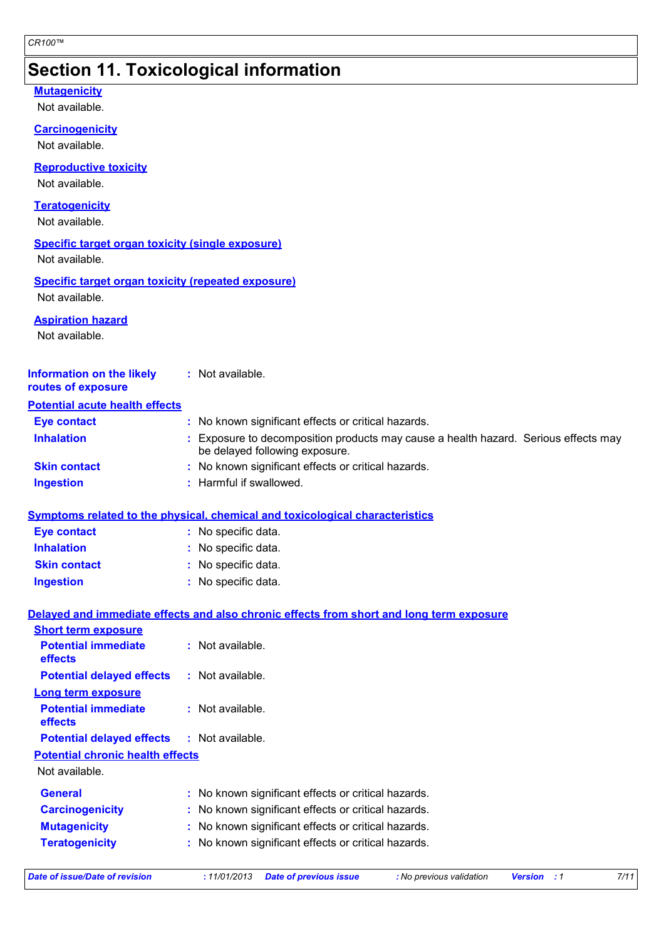### **Section 11. Toxicological information**

### Not available. **Carcinogenicity** Not available. **Mutagenicity** Not available. **Teratogenicity** Not available. **Reproductive toxicity** Not available. **Information on the likely routes of exposure Inhalation :** Exposure to decomposition products may cause a health hazard. Serious effects may be delayed following exposure. **Ingestion :** Harmful if swallowed. **Skin contact :** No known significant effects or critical hazards. **Eye contact Exercise Exercise 2.1 All Structure 2.1 All Structure 2.1 All Structure 2.1 All Structure 2.1 All Structure 2.1 All Structure 2.1 All Structure 2.1 All Structure 2.1 All Structure 2.1 All Structure 2.1 All S General :** No known significant effects or critical hazards. **Carcinogenicity :** No known significant effects or critical hazards. **Mutagenicity :** No known significant effects or critical hazards. **Symptoms related to the physical, chemical and toxicological characteristics Skin contact Ingestion Inhalation :** No specific data. No specific data. **:** No specific data. **: Eye contact :** No specific data. **Potential chronic health effects Delayed and immediate effects and also chronic effects from short and long term exposure Specific target organ toxicity (single exposure) Specific target organ toxicity (repeated exposure)** Not available. Not available. **Aspiration hazard** Not available. **:** Not available. **Potential acute health effects Potential immediate effects :** Not available. **Short term exposure Potential delayed effects :** Not available. **Potential immediate effects :** Not available. **Long term exposure Potential delayed effects :** Not available.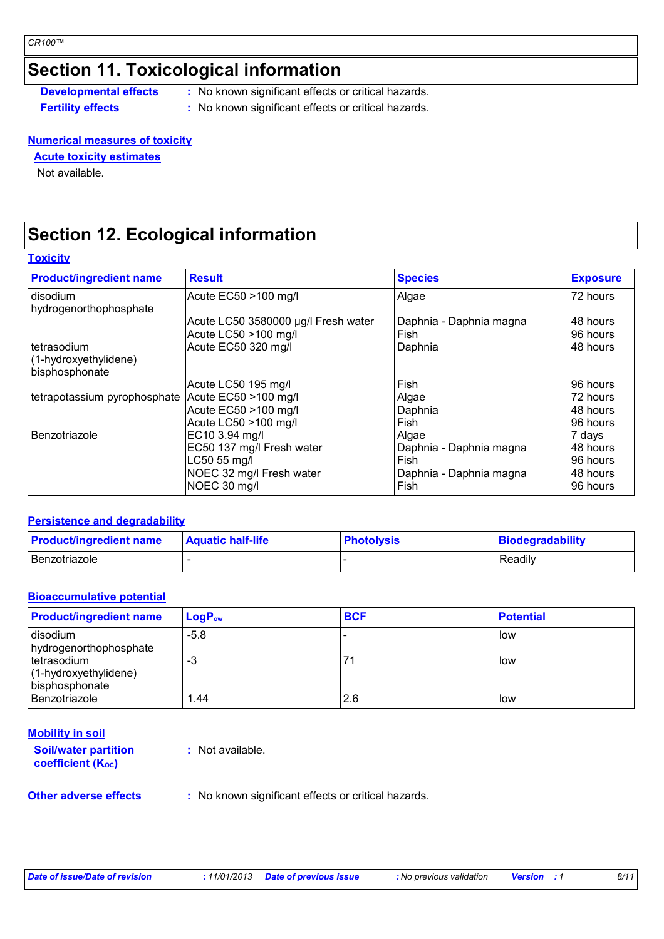### **Section 11. Toxicological information**

**Developmental effects** : No known significant effects or critical hazards.

**Fertility effects :** No known significant effects or critical hazards.

#### **Numerical measures of toxicity**

#### **Acute toxicity estimates**

Not available.

### **Section 12. Ecological information**

#### **Toxicity**

| <b>Product/ingredient name</b>                         | <b>Result</b>                       | <b>Species</b>          | <b>Exposure</b> |
|--------------------------------------------------------|-------------------------------------|-------------------------|-----------------|
| disodium<br>hydrogenorthophosphate                     | Acute EC50 >100 mg/l                | Algae                   | 72 hours        |
|                                                        | Acute LC50 3580000 µg/l Fresh water | Daphnia - Daphnia magna | 48 hours        |
|                                                        | Acute LC50 >100 mg/l                | Fish                    | 96 hours        |
| tetrasodium<br>(1-hydroxyethylidene)<br>bisphosphonate | Acute EC50 320 mg/l                 | Daphnia                 | 48 hours        |
|                                                        | Acute LC50 195 mg/l                 | Fish                    | 96 hours        |
| tetrapotassium pyrophosphate                           | Acute EC50 >100 mg/l                | Algae                   | 72 hours        |
|                                                        | Acute EC50 >100 mg/l                | Daphnia                 | 48 hours        |
|                                                        | Acute LC50 >100 mg/l                | Fish                    | 96 hours        |
| Benzotriazole                                          | EC10 3.94 mg/l                      | Algae                   | 7 days          |
|                                                        | EC50 137 mg/l Fresh water           | Daphnia - Daphnia magna | 48 hours        |
|                                                        | LC50 55 mg/l                        | Fish                    | 96 hours        |
|                                                        | NOEC 32 mg/l Fresh water            | Daphnia - Daphnia magna | 48 hours        |
|                                                        | NOEC 30 mg/l                        | Fish                    | 96 hours        |

#### **Persistence and degradability**

| <b>Product/ingredient name</b> | <b>Aquatic half-life</b> | <b>Photolysis</b> | Biodegradability |
|--------------------------------|--------------------------|-------------------|------------------|
| Benzotriazole                  |                          |                   | Readily          |

#### **Bioaccumulative potential**

| <b>Product/ingredient name</b>                                | $LogP_{ow}$ | <b>BCF</b> | <b>Potential</b> |
|---------------------------------------------------------------|-------------|------------|------------------|
| disodium<br>hydrogenorthophosphate                            | $-5.8$      |            | low              |
| Itetrasodium<br>$(1-hydroxyethy$ lidene $)$<br>bisphosphonate | -3          | 71         | low              |
| Benzotriazole                                                 | 1.44        | 2.6        | low              |

#### **Mobility in soil**

| <b>Soil/water partition</b> | : Not available. |
|-----------------------------|------------------|
| <b>coefficient (Koc)</b>    |                  |

#### **Other adverse effects** : No known significant effects or critical hazards.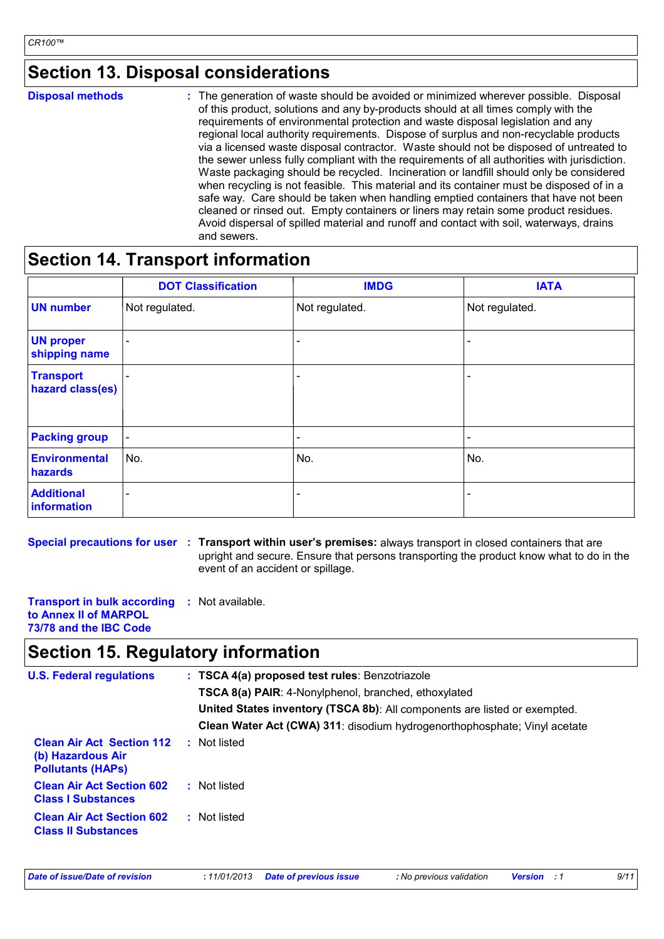### **Section 13. Disposal considerations**

**Disposal methods :**

The generation of waste should be avoided or minimized wherever possible. Disposal of this product, solutions and any by-products should at all times comply with the requirements of environmental protection and waste disposal legislation and any regional local authority requirements. Dispose of surplus and non-recyclable products via a licensed waste disposal contractor. Waste should not be disposed of untreated to the sewer unless fully compliant with the requirements of all authorities with jurisdiction. Waste packaging should be recycled. Incineration or landfill should only be considered when recycling is not feasible. This material and its container must be disposed of in a safe way. Care should be taken when handling emptied containers that have not been cleaned or rinsed out. Empty containers or liners may retain some product residues. Avoid dispersal of spilled material and runoff and contact with soil, waterways, drains and sewers.

### **Section 14. Transport information**

|                                      | <b>DOT Classification</b> | <b>IMDG</b>                  | <b>IATA</b>              |
|--------------------------------------|---------------------------|------------------------------|--------------------------|
| <b>UN number</b>                     | Not regulated.            | Not regulated.               | Not regulated.           |
| <b>UN proper</b><br>shipping name    | $\overline{\phantom{0}}$  | $\overline{\phantom{0}}$     | $\overline{\phantom{0}}$ |
| <b>Transport</b><br>hazard class(es) |                           | $\qquad \qquad \blacksquare$ | $\qquad \qquad$          |
| <b>Packing group</b>                 | $\overline{\phantom{a}}$  | $\overline{\phantom{a}}$     | $\overline{\phantom{a}}$ |
| <b>Environmental</b><br>hazards      | No.                       | No.                          | No.                      |
| <b>Additional</b><br>information     | ۰                         | $\qquad \qquad \blacksquare$ | ٠                        |

**Special precautions for user Transport within user's premises:** always transport in closed containers that are **:** upright and secure. Ensure that persons transporting the product know what to do in the event of an accident or spillage.

| <b>Transport in bulk according : Not available.</b> |  |  |
|-----------------------------------------------------|--|--|
| to Annex II of MARPOL                               |  |  |
| 73/78 and the IBC Code                              |  |  |

### **Section 15. Regulatory information**

| <b>U.S. Federal regulations</b>                                                   | : TSCA 4(a) proposed test rules: Benzotriazole                            |
|-----------------------------------------------------------------------------------|---------------------------------------------------------------------------|
|                                                                                   | <b>TSCA 8(a) PAIR: 4-Nonylphenol, branched, ethoxylated</b>               |
|                                                                                   | United States inventory (TSCA 8b): All components are listed or exempted. |
|                                                                                   | Clean Water Act (CWA) 311: disodium hydrogenorthophosphate; Vinyl acetate |
| <b>Clean Air Act Section 112</b><br>(b) Hazardous Air<br><b>Pollutants (HAPS)</b> | : Not listed                                                              |
| <b>Clean Air Act Section 602</b><br><b>Class I Substances</b>                     | : Not listed                                                              |
| <b>Clean Air Act Section 602</b><br><b>Class II Substances</b>                    | : Not listed                                                              |
|                                                                                   |                                                                           |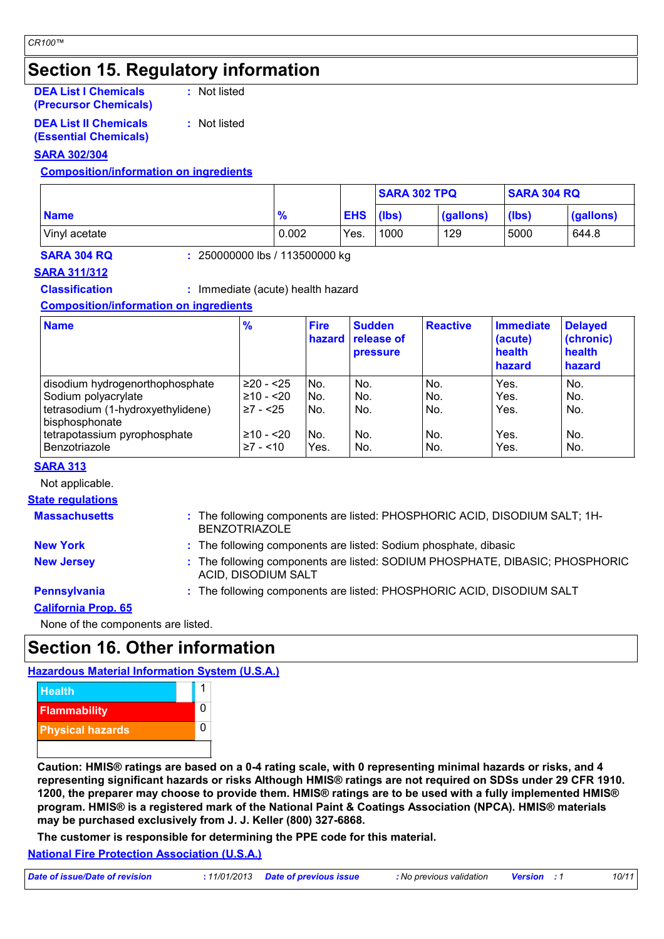### **Section 15. Regulatory information**

**DEA List I Chemicals (Precursor Chemicals)** **:** Not listed

**DEA List II Chemicals (Essential Chemicals)**

**:** Not listed

#### **SARA 302/304**

#### **Composition/information on ingredients**

|               |                    |            | <b>SARA 302 TPQ</b> |           | <b>SARA 304 RQ</b> |           |
|---------------|--------------------|------------|---------------------|-----------|--------------------|-----------|
| <b>Name</b>   | $\mathbf{o}$<br>70 | <b>EHS</b> | (lbs)               | (gallons) | (Ibs)              | (gallons) |
| Vinyl acetate | 0.002              | Yes.       | 1000                | 129       | 5000               | 644.8     |

**SARA 304 RQ :** 250000000 lbs / 113500000 kg

#### **SARA 311/312**

**Classification :** Immediate (acute) health hazard

#### **Composition/information on ingredients**

| <b>Name</b>                                         | $\frac{9}{6}$ | <b>Fire</b><br>hazard | <b>Sudden</b><br><b>release of</b><br><b>pressure</b> | <b>Reactive</b> | Immediate<br>(acute)<br>health<br>hazard | <b>Delayed</b><br>(chronic)<br>health<br>hazard |
|-----------------------------------------------------|---------------|-----------------------|-------------------------------------------------------|-----------------|------------------------------------------|-------------------------------------------------|
| disodium hydrogenorthophosphate                     | $≥20 - 525$   | No.                   | No.                                                   | No.             | Yes.                                     | No.                                             |
| Sodium polyacrylate                                 | $≥10 - 520$   | No.                   | No.                                                   | No.             | Yes.                                     | No.                                             |
| tetrasodium (1-hydroxyethylidene)<br>bisphosphonate | $≥7 - 25$     | No.                   | No.                                                   | No.             | Yes.                                     | No.                                             |
| tetrapotassium pyrophosphate                        | .≥10 - <20    | No.                   | No.                                                   | No.             | Yes.                                     | No.                                             |
| Benzotriazole                                       | $>27 - 10$    | Yes.                  | No.                                                   | No.             | Yes.                                     | No.                                             |

#### **SARA 313**

Not applicable.

#### **State regulations**

**Massachusetts :**

- The following components are listed: PHOSPHORIC ACID, DISODIUM SALT; 1H-**BENZOTRIAZOLE**
- 
- 
- **New York :** The following components are listed: Sodium phosphate, dibasic
- **New Jersey :** The following components are listed: SODIUM PHOSPHATE, DIBASIC; PHOSPHORIC ACID, DISODIUM SALT
- **Pennsylvania :** The following components are listed: PHOSPHORIC ACID, DISODIUM SALT

#### **California Prop. 65**

None of the components are listed.

### **Section 16. Other information**

#### **Hazardous Material Information System (U.S.A.)**



**Caution: HMIS® ratings are based on a 0-4 rating scale, with 0 representing minimal hazards or risks, and 4 representing significant hazards or risks Although HMIS® ratings are not required on SDSs under 29 CFR 1910. 1200, the preparer may choose to provide them. HMIS® ratings are to be used with a fully implemented HMIS® program. HMIS® is a registered mark of the National Paint & Coatings Association (NPCA). HMIS® materials may be purchased exclusively from J. J. Keller (800) 327-6868.**

**The customer is responsible for determining the PPE code for this material.**

**National Fire Protection Association (U.S.A.)**

| : 11/01/2013 Date of previous issue | Date of issue/Date of revision |  |  | : No previous validation | <b>Version</b> : 1 |  | 10/11 |
|-------------------------------------|--------------------------------|--|--|--------------------------|--------------------|--|-------|
|-------------------------------------|--------------------------------|--|--|--------------------------|--------------------|--|-------|